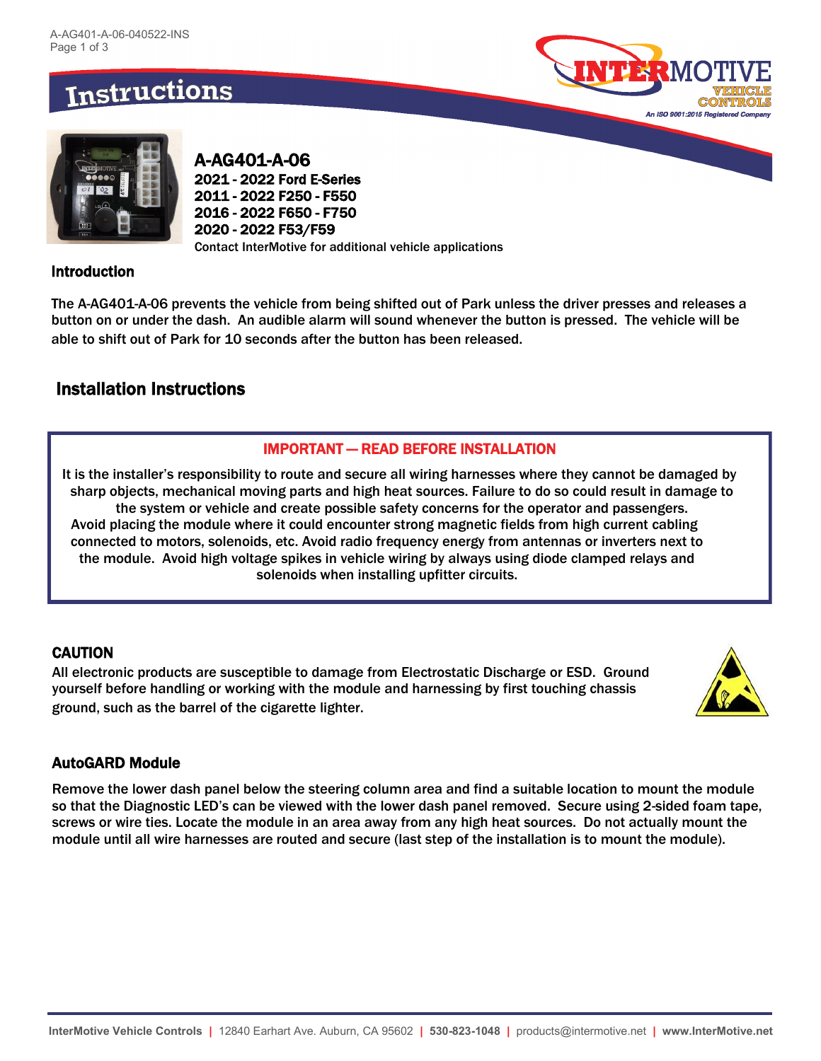# **Instructions**





A-AG401-A-06 2021 - 2022 Ford E-Series 2011 - 2022 F250 - F550 2016 - 2022 F650 - F750 2020 - 2022 F53/F59 Contact InterMotive for additional vehicle applications

### Introduction

The A-AG401-A-06 prevents the vehicle from being shifted out of Park unless the driver presses and releases a button on or under the dash. An audible alarm will sound whenever the button is pressed. The vehicle will be able to shift out of Park for 10 seconds after the button has been released.

# Installation Instructions

### IMPORTANT — READ BEFORE INSTALLATION

It is the installer's responsibility to route and secure all wiring harnesses where they cannot be damaged by sharp objects, mechanical moving parts and high heat sources. Failure to do so could result in damage to the system or vehicle and create possible safety concerns for the operator and passengers. Avoid placing the module where it could encounter strong magnetic fields from high current cabling connected to motors, solenoids, etc. Avoid radio frequency energy from antennas or inverters next to the module. Avoid high voltage spikes in vehicle wiring by always using diode clamped relays and solenoids when installing upfitter circuits.

### **CAUTION**

All electronic products are susceptible to damage from Electrostatic Discharge or ESD. Ground yourself before handling or working with the module and harnessing by first touching chassis ground, such as the barrel of the cigarette lighter.



### AutoGARD Module

Remove the lower dash panel below the steering column area and find a suitable location to mount the module so that the Diagnostic LED's can be viewed with the lower dash panel removed. Secure using 2-sided foam tape, screws or wire ties. Locate the module in an area away from any high heat sources. Do not actually mount the module until all wire harnesses are routed and secure (last step of the installation is to mount the module).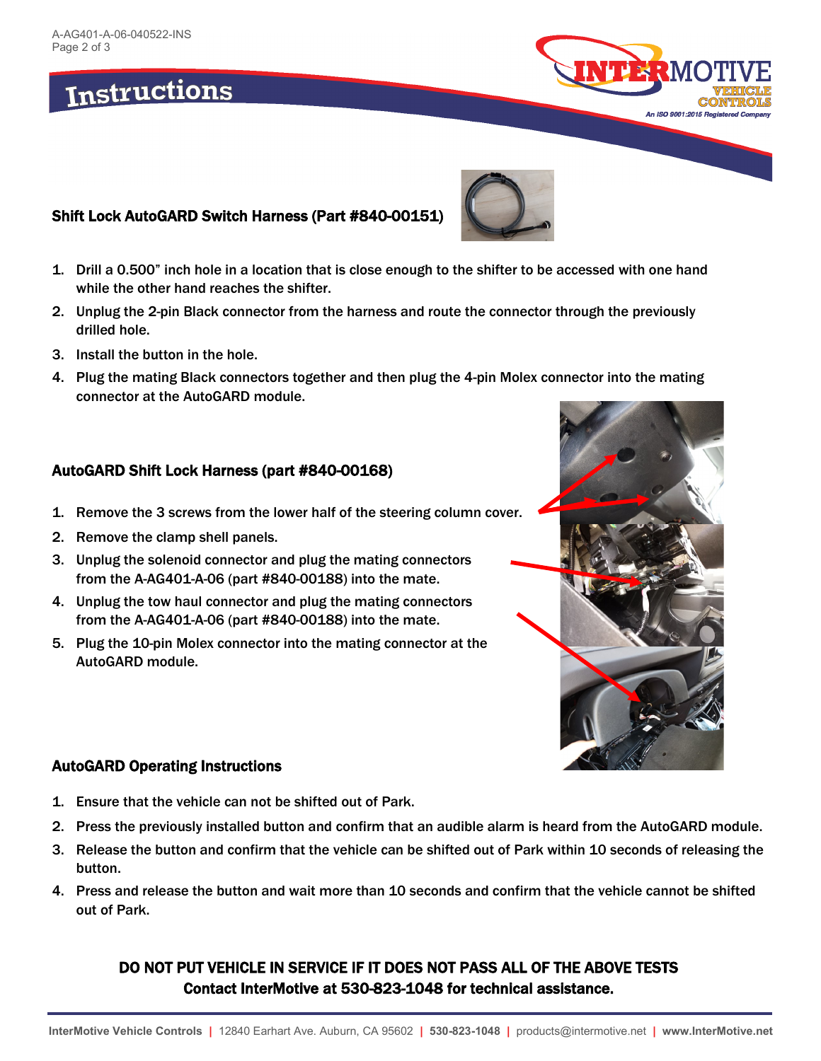# **Instructions**





# Shift Lock AutoGARD Switch Harness (Part #840-00151)

- 1. Drill a 0.500" inch hole in a location that is close enough to the shifter to be accessed with one hand while the other hand reaches the shifter.
- 2. Unplug the 2-pin Black connector from the harness and route the connector through the previously drilled hole.
- 3. Install the button in the hole.
- 4. Plug the mating Black connectors together and then plug the 4-pin Molex connector into the mating connector at the AutoGARD module.

### AutoGARD Shift Lock Harness (part #840-00168)

- 1. Remove the 3 screws from the lower half of the steering column cover.
- 2. Remove the clamp shell panels.
- 3. Unplug the solenoid connector and plug the mating connectors from the A-AG401-A-06 (part #840-00188) into the mate.
- 4. Unplug the tow haul connector and plug the mating connectors from the A-AG401-A-06 (part #840-00188) into the mate.
- 5. Plug the 10-pin Molex connector into the mating connector at the AutoGARD module.



### AutoGARD Operating Instructions

- 1. Ensure that the vehicle can not be shifted out of Park.
- 2. Press the previously installed button and confirm that an audible alarm is heard from the AutoGARD module.
- 3. Release the button and confirm that the vehicle can be shifted out of Park within 10 seconds of releasing the button.
- 4. Press and release the button and wait more than 10 seconds and confirm that the vehicle cannot be shifted out of Park.

### DO NOT PUT VEHICLE IN SERVICE IF IT DOES NOT PASS ALL OF THE ABOVE TESTS Contact InterMotive at 530-823-1048 for technical assistance.